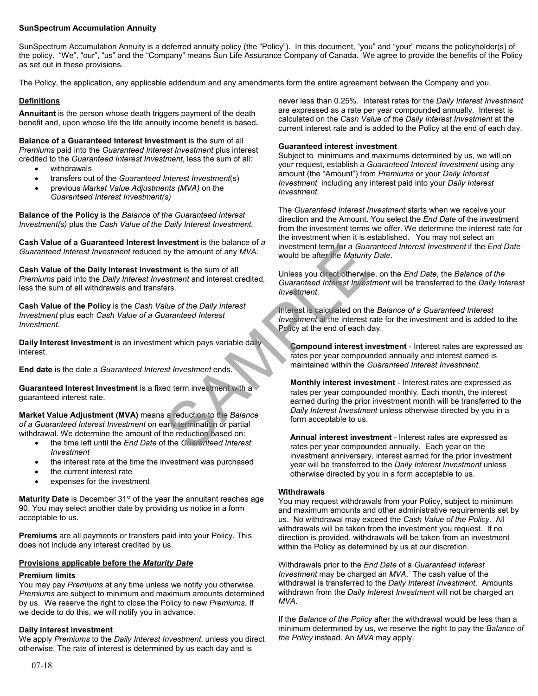# **SunSpectrum Accumulation Annuity**

SunSpectrum Accumulation Annuity is a deferred annuity policy (the "Policy"). In this document, "you" and "your" means the policyholder(s) of the policy. "We", "our", "us" and the "Company" means Sun Life Assurance Company of Canada. We agree to provide the benefits of the Policy as set out in these provisions.

The Policy, the application, any applicable addendum and any amendments form the entire agreement between the Company and you.

# **Definitions**

**Annuitant** is the person whose death triggers payment of the death benefit and, upon whose life the life annuity income benefit is based**.**

**Balance of a Guaranteed Interest Investment** is the sum of all *Premiums* paid into the *Guaranteed Interest Investment* plus interest credited to the *Guaranteed Interest Investment*, less the sum of all:

- withdrawals
- transfers out of the *Guaranteed Interest Investment*(s)
- previous *Market Value Adjustments (MVA)* on the *Guaranteed Interest Investment(s)*

**Balance of the Policy** is the *Balance of the Guaranteed Interest Investment(s)* plus the *Cash Value of the Daily Interest Investment.*

**Cash Value of a Guaranteed Interest Investment** is the balance of *a Guaranteed Interest Investment* reduced by the amount of any *MVA*.

**Cash Value of the Daily Interest Investment** is the sum of all *Premiums* paid into the *Daily Interest Investment* and interest credited, less the sum of all withdrawals and transfers.

**Cash Value of the Policy** is the *Cash Value of the Daily Interest Investment* plus each *Cash Value of a Guaranteed Interest Investment.*

**Daily Interest Investment** is an investment which pays variable daily interest.

**End date** is the date a *Guaranteed Interest Investment* ends.

**Guaranteed Interest Investment** is a fixed term investment with a guaranteed interest rate.

**Market Value Adjustment (MVA)** means a reduction to the *Balance of a Guaranteed Interest Investment* on early termination or partial withdrawal. We determine the amount of the reduction based on:

- the time left until the *End Date* of the *Guaranteed Interest Investment*
- the interest rate at the time the investment was purchased
- the current interest rate
- expenses for the investment

**Maturity Date** is December 31<sup>st</sup> of the year the annuitant reaches age 90. You may select another date by providing us notice in a form acceptable to us.

**Premiums** are all payments or transfers paid into your Policy. This does not include any interest credited by us.

# **Provisions applicable before the** *Maturity Date*

# **Premium limits**

You may pay *Premiums* at any time unless we notify you otherwise. *Premiums* are subject to minimum and maximum amounts determined by us. We reserve the right to close the Policy to new *Premiums.* If we decide to do this, we will notify you in advance.

# **Daily interest investment**

We apply *Premiums* to the *Daily Interest Investment*, unless you direct otherwise. The rate of interest is determined by us each day and is

never less than 0.25%. Interest rates for the *Daily Interest Investment* are expressed as a rate per year compounded annually. Interest is calculated on the *Cash Value of the Daily Interest Investment* at the current interest rate and is added to the Policy at the end of each day.

# **Guaranteed interest investment**

Subject to minimums and maximums determined by us, we will on your request, establish a *Guaranteed Interest Investment* using any amount (the "Amount") from *Premiums* or your *Daily Interest Investment* including any interest paid into your *Daily Interest Investment.*

The *Guaranteed Interest Investment* starts when we receive your direction and the Amount. You select the *End Date* of the investment from the investment terms we offer. We determine the interest rate for the investment when it is established. You may not select an investment term for a *Guaranteed Interest Investment* if the *End Date* would be after the *Maturity Date*.

Unless you direct otherwise, on the *End Date*, the *Balance of the Guaranteed Interest Investment* will be transferred to the *Daily Interest Investment*.

Interest is calculated on the *Balance of a Guaranteed Interest Investment* at the interest rate for the investment and is added to the Policy at the end of each day.

**Compound interest investment** - Interest rates are expressed as rates per year compounded annually and interest earned is maintained within the *Guaranteed Interest Investment*.

**Monthly interest investment** - Interest rates are expressed as rates per year compounded monthly. Each month, the interest earned during the prior investment month will be transferred to the *Daily Interest Investment* unless otherwise directed by you in a form acceptable to us. Westment is the balance of any MVA.<br>
Sament is the sum of all<br>
strent and interest credited,<br>
Sament and interest credited,<br>
Samenteed Interest Investment.<br>
Interest is calculated on the<br>
lange of the Daily Interest<br>
Inves

**Annual interest investment** - Interest rates are expressed as rates per year compounded annually. Each year on the investment anniversary, interest earned for the prior investment year will be transferred to the *Daily Interest Investment* unless otherwise directed by you in a form acceptable to us.

## **Withdrawals**

You may request withdrawals from your Policy, subject to minimum and maximum amounts and other administrative requirements set by us. No withdrawal may exceed the *Cash Value of the Policy*. All withdrawals will be taken from the investment you request. If no direction is provided, withdrawals will be taken from an investment within the Policy as determined by us at our discretion.

Withdrawals prior to the *End Date* of a *Guaranteed Interest Investment* may be charged an *MVA*. The cash value of the withdrawal is transferred to the *Daily Interest Investment*. Amounts withdrawn from the *Daily Interest Investment* will not be charged an *MVA*.

If the *Balance of the Policy* after the withdrawal would be less than a minimum determined by us, we reserve the right to pay the *Balance of the Policy* instead. An *MVA* may apply.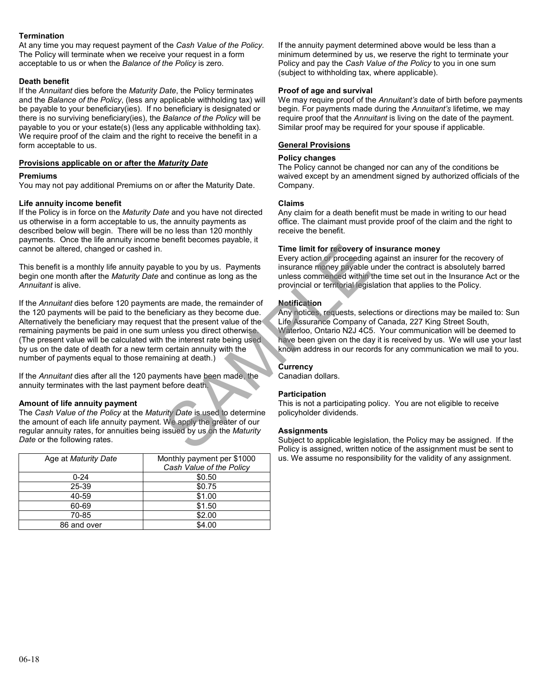# **Termination**

At any time you may request payment of the *Cash Value of the Policy.* The Policy will terminate when we receive your request in a form acceptable to us or when the *Balance of the Policy* is zero.

## **Death benefit**

If the *Annuitant* dies before the *Maturity Date*, the Policy terminates and the *Balance of the Policy*, (less any applicable withholding tax) will be payable to your beneficiary(ies). If no beneficiary is designated or there is no surviving beneficiary(ies), the *Balance of the Policy* will be payable to you or your estate(s) (less any applicable withholding tax). We require proof of the claim and the right to receive the benefit in a form acceptable to us.

# **Provisions applicable on or after the** *Maturity Date*

#### **Premiums**

You may not pay additional Premiums on or after the Maturity Date.

## **Life annuity income benefit**

If the Policy is in force on the *Maturity Date* and you have not directed us otherwise in a form acceptable to us, the annuity payments as described below will begin. There will be no less than 120 monthly payments. Once the life annuity income benefit becomes payable, it cannot be altered, changed or cashed in.

This benefit is a monthly life annuity payable to you by us. Payments begin one month after the *Maturity Date* and continue as long as the *Annuitant* is alive.

If the *Annuitant* dies before 120 payments are made, the remainder of the 120 payments will be paid to the beneficiary as they become due. Alternatively the beneficiary may request that the present value of the remaining payments be paid in one sum unless you direct otherwise. (The present value will be calculated with the interest rate being used by us on the date of death for a new term certain annuity with the number of payments equal to those remaining at death.) Time limit for recovery of ins<br>
Every action or proceeding age<br>
insurance money payable under<br>
and continue as long as the<br>
unless commenced within the the<br>
provincial or territorial legislation<br>
sa are made, the remainder

If the *Annuitant* dies after all the 120 payments have been made, the annuity terminates with the last payment before death.

## **Amount of life annuity payment**

The *Cash Value of the Policy* at the *Maturity Date* is used to determine the amount of each life annuity payment. We apply the greater of our regular annuity rates, for annuities being issued by us on the *Maturity Date* or the following rates.

| Age at <i>Maturity Date</i> | Monthly payment per \$1000 |
|-----------------------------|----------------------------|
|                             | Cash Value of the Policy   |
| $0 - 24$                    | \$0.50                     |
| 25-39                       | \$0.75                     |
| 40-59                       | \$1.00                     |
| 60-69                       | \$1.50                     |
| 70-85                       | \$2.00                     |
| 86 and over                 | \$4.00                     |

If the annuity payment determined above would be less than a minimum determined by us, we reserve the right to terminate your Policy and pay the *Cash Value of the Policy* to you in one sum (subject to withholding tax, where applicable).

#### **Proof of age and survival**

We may require proof of the *Annuitant's* date of birth before payments begin. For payments made during the *Annuitant's* lifetime, we may require proof that the *Annuitant* is living on the date of the payment. Similar proof may be required for your spouse if applicable.

# **General Provisions**

#### **Policy changes**

The Policy cannot be changed nor can any of the conditions be waived except by an amendment signed by authorized officials of the Company.

#### **Claims**

Any claim for a death benefit must be made in writing to our head office. The claimant must provide proof of the claim and the right to receive the benefit.

## **Time limit for recovery of insurance money**

Every action or proceeding against an insurer for the recovery of insurance money payable under the contract is absolutely barred unless commenced within the time set out in the Insurance Act or the provincial or territorial legislation that applies to the Policy.

## **Notification**

Any notices, requests, selections or directions may be mailed to: Sun Life Assurance Company of Canada, 227 King Street South, Waterloo, Ontario N2J 4C5. Your communication will be deemed to have been given on the day it is received by us. We will use your last known address in our records for any communication we mail to you.

## **Currency**

Canadian dollars.

## **Participation**

This is not a participating policy. You are not eligible to receive policyholder dividends.

#### **Assignments**

Subject to applicable legislation, the Policy may be assigned. If the Policy is assigned, written notice of the assignment must be sent to us. We assume no responsibility for the validity of any assignment.